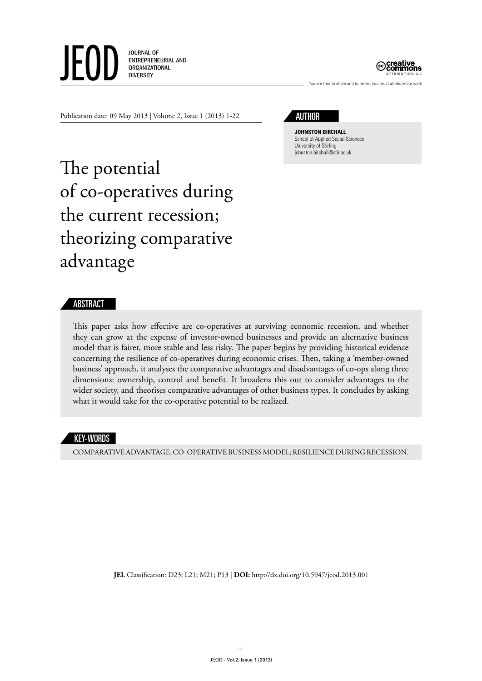**JOURNAL OF** JE ENTREPRENEURIAL AND ORGANIZATIONAL **DIVERSITY** 



You are free to share and to remix, you must attribute the wor

Publication date: 09 May 2013 | Volume 2, Issue 1 (2013) 1-22

author

**Johnston Birchall** School of Applied Social Sciences University of Stirling johnston.birchall@stir.ac.uk

# The potential of co-operatives during the current recession; theorizing comparative advantage

# ABSTRACT

This paper asks how effective are co-operatives at surviving economic recession, and whether they can grow at the expense of investor-owned businesses and provide an alternative business model that is fairer, more stable and less risky. The paper begins by providing historical evidence concerning the resilience of co-operatives during economic crises. Then, taking a 'member-owned business' approach, it analyses the comparative advantages and disadvantages of co-ops along three dimensions: ownership, control and benefit. It broadens this out to consider advantages to the wider society, and theorises comparative advantages of other business types. It concludes by asking what it would take for the co-operative potential to be realized.

## KEY-WORDS

Comparative advantage; co-operative business model; resilience during recession.

**JEL** Classification: D23; L21; M21; P13 | **DOI:** http://dx.doi.org/10.5947/jeod.2013.001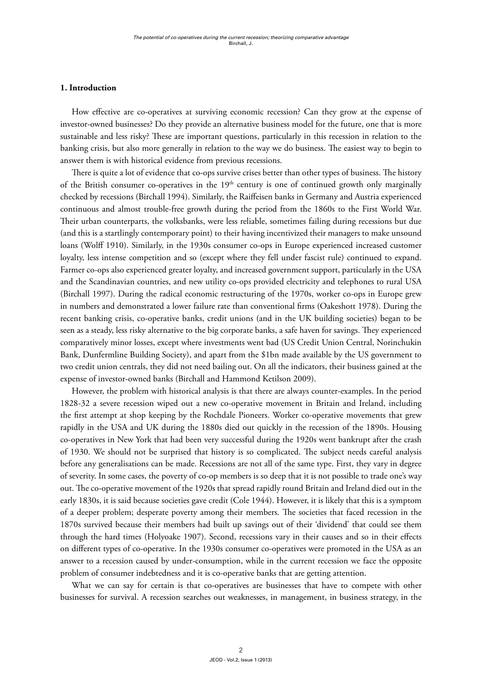#### **1. Introduction**

How effective are co-operatives at surviving economic recession? Can they grow at the expense of investor-owned businesses? Do they provide an alternative business model for the future, one that is more sustainable and less risky? These are important questions, particularly in this recession in relation to the banking crisis, but also more generally in relation to the way we do business. The easiest way to begin to answer them is with historical evidence from previous recessions.

There is quite a lot of evidence that co-ops survive crises better than other types of business. The history of the British consumer co-operatives in the 19<sup>th</sup> century is one of continued growth only marginally checked by recessions (Birchall 1994). Similarly, the Raiffeisen banks in Germany and Austria experienced continuous and almost trouble-free growth during the period from the 1860s to the First World War. Their urban counterparts, the volksbanks, were less reliable, sometimes failing during recessions but due (and this is a startlingly contemporary point) to their having incentivized their managers to make unsound loans (Wolff 1910). Similarly, in the 1930s consumer co-ops in Europe experienced increased customer loyalty, less intense competition and so (except where they fell under fascist rule) continued to expand. Farmer co-ops also experienced greater loyalty, and increased government support, particularly in the USA and the Scandinavian countries, and new utility co-ops provided electricity and telephones to rural USA (Birchall 1997). During the radical economic restructuring of the 1970s, worker co-ops in Europe grew in numbers and demonstrated a lower failure rate than conventional firms (Oakeshott 1978). During the recent banking crisis, co-operative banks, credit unions (and in the UK building societies) began to be seen as a steady, less risky alternative to the big corporate banks, a safe haven for savings. They experienced comparatively minor losses, except where investments went bad (US Credit Union Central, Norinchukin Bank, Dunfermline Building Society), and apart from the \$1bn made available by the US government to two credit union centrals, they did not need bailing out. On all the indicators, their business gained at the expense of investor-owned banks (Birchall and Hammond Ketilson 2009).

However, the problem with historical analysis is that there are always counter-examples. In the period 1828-32 a severe recession wiped out a new co-operative movement in Britain and Ireland, including the first attempt at shop keeping by the Rochdale Pioneers. Worker co-operative movements that grew rapidly in the USA and UK during the 1880s died out quickly in the recession of the 1890s. Housing co-operatives in New York that had been very successful during the 1920s went bankrupt after the crash of 1930. We should not be surprised that history is so complicated. The subject needs careful analysis before any generalisations can be made. Recessions are not all of the same type. First, they vary in degree of severity. In some cases, the poverty of co-op members is so deep that it is not possible to trade one's way out. The co-operative movement of the 1920s that spread rapidly round Britain and Ireland died out in the early 1830s, it is said because societies gave credit (Cole 1944). However, it is likely that this is a symptom of a deeper problem; desperate poverty among their members. The societies that faced recession in the 1870s survived because their members had built up savings out of their 'dividend' that could see them through the hard times (Holyoake 1907). Second, recessions vary in their causes and so in their effects on different types of co-operative. In the 1930s consumer co-operatives were promoted in the USA as an answer to a recession caused by under-consumption, while in the current recession we face the opposite problem of consumer indebtedness and it is co-operative banks that are getting attention.

What we can say for certain is that co-operatives are businesses that have to compete with other businesses for survival. A recession searches out weaknesses, in management, in business strategy, in the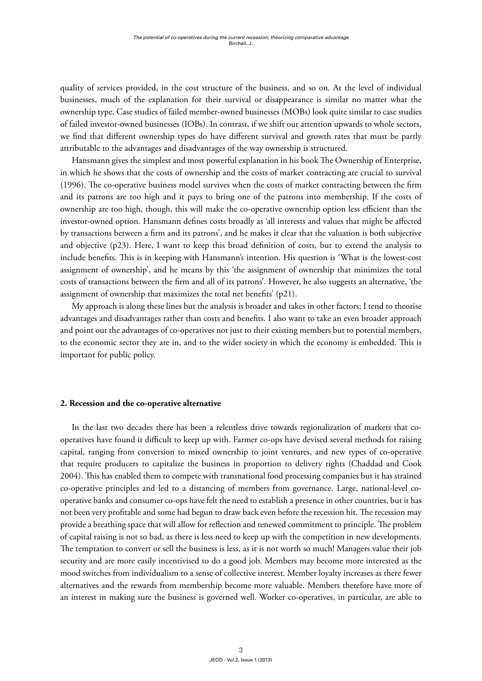quality of services provided, in the cost structure of the business, and so on. At the level of individual businesses, much of the explanation for their survival or disappearance is similar no matter what the ownership type. Case studies of failed member-owned businesses (MOBs) look quite similar to case studies of failed investor-owned businesses (IOBs). In contrast, if we shift our attention upwards to whole sectors, we find that different ownership types do have different survival and growth rates that must be partly attributable to the advantages and disadvantages of the way ownership is structured.

Hansmann gives the simplest and most powerful explanation in his book The Ownership of Enterprise, in which he shows that the costs of ownership and the costs of market contracting are crucial to survival (1996). The co-operative business model survives when the costs of market contracting between the firm and its patrons are too high and it pays to bring one of the patrons into membership. If the costs of ownership are too high, though, this will make the co-operative ownership option less efficient than the investor-owned option. Hansmann defines costs broadly as 'all interests and values that might be affected by transactions between a firm and its patrons', and he makes it clear that the valuation is both subjective and objective (p23). Here, I want to keep this broad definition of costs, but to extend the analysis to include benefits. This is in keeping with Hansmann's intention. His question is 'What is the lowest-cost assignment of ownership', and he means by this 'the assignment of ownership that minimizes the total costs of transactions between the firm and all of its patrons'. However, he also suggests an alternative, 'the assignment of ownership that maximizes the total net benefits' (p21).

My approach is along these lines but the analysis is broader and takes in other factors; I tend to theorise advantages and disadvantages rather than costs and benefits. I also want to take an even broader approach and point out the advantages of co-operatives not just to their existing members but to potential members, to the economic sector they are in, and to the wider society in which the economy is embedded. This is important for public policy.

#### **2. Recession and the co-operative alternative**

In the last two decades there has been a relentless drive towards regionalization of markets that cooperatives have found it difficult to keep up with. Farmer co-ops have devised several methods for raising capital, ranging from conversion to mixed ownership to joint ventures, and new types of co-operative that require producers to capitalize the business in proportion to delivery rights (Chaddad and Cook 2004). This has enabled them to compete with transnational food processing companies but it has strained co-operative principles and led to a distancing of members from governance. Large, national-level cooperative banks and consumer co-ops have felt the need to establish a presence in other countries, but it has not been very profitable and some had begun to draw back even before the recession hit. The recession may provide a breathing space that will allow for reflection and renewed commitment to principle. The problem of capital raising is not so bad, as there is less need to keep up with the competition in new developments. The temptation to convert or sell the business is less, as it is not worth so much! Managers value their job security and are more easily incentivised to do a good job. Members may become more interested as the mood switches from individualism to a sense of collective interest. Member loyalty increases as there fewer alternatives and the rewards from membership become more valuable. Members therefore have more of an interest in making sure the business is governed well. Worker co-operatives, in particular, are able to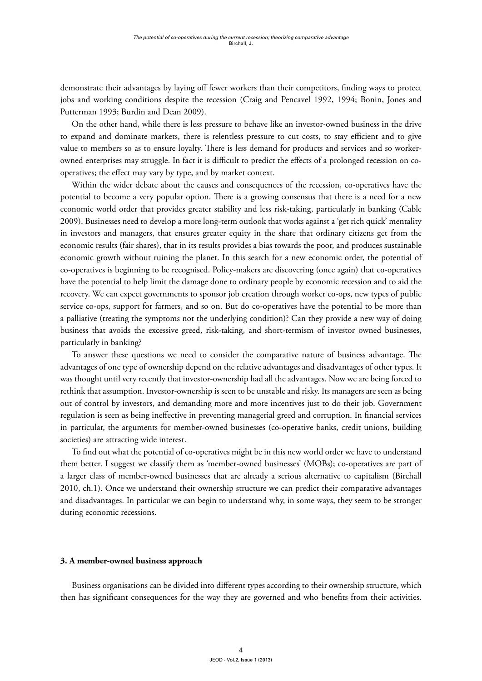demonstrate their advantages by laying off fewer workers than their competitors, finding ways to protect jobs and working conditions despite the recession (Craig and Pencavel 1992, 1994; Bonin, Jones and Putterman 1993; Burdin and Dean 2009).

On the other hand, while there is less pressure to behave like an investor-owned business in the drive to expand and dominate markets, there is relentless pressure to cut costs, to stay efficient and to give value to members so as to ensure loyalty. There is less demand for products and services and so workerowned enterprises may struggle. In fact it is difficult to predict the effects of a prolonged recession on cooperatives; the effect may vary by type, and by market context.

Within the wider debate about the causes and consequences of the recession, co-operatives have the potential to become a very popular option. There is a growing consensus that there is a need for a new economic world order that provides greater stability and less risk-taking, particularly in banking (Cable 2009). Businesses need to develop a more long-term outlook that works against a 'get rich quick' mentality in investors and managers, that ensures greater equity in the share that ordinary citizens get from the economic results (fair shares), that in its results provides a bias towards the poor, and produces sustainable economic growth without ruining the planet. In this search for a new economic order, the potential of co-operatives is beginning to be recognised. Policy-makers are discovering (once again) that co-operatives have the potential to help limit the damage done to ordinary people by economic recession and to aid the recovery. We can expect governments to sponsor job creation through worker co-ops, new types of public service co-ops, support for farmers, and so on. But do co-operatives have the potential to be more than a palliative (treating the symptoms not the underlying condition)? Can they provide a new way of doing business that avoids the excessive greed, risk-taking, and short-termism of investor owned businesses, particularly in banking?

To answer these questions we need to consider the comparative nature of business advantage. The advantages of one type of ownership depend on the relative advantages and disadvantages of other types. It was thought until very recently that investor-ownership had all the advantages. Now we are being forced to rethink that assumption. Investor-ownership is seen to be unstable and risky. Its managers are seen as being out of control by investors, and demanding more and more incentives just to do their job. Government regulation is seen as being ineffective in preventing managerial greed and corruption. In financial services in particular, the arguments for member-owned businesses (co-operative banks, credit unions, building societies) are attracting wide interest.

To find out what the potential of co-operatives might be in this new world order we have to understand them better. I suggest we classify them as 'member-owned businesses' (MOBs); co-operatives are part of a larger class of member-owned businesses that are already a serious alternative to capitalism (Birchall 2010, ch.1). Once we understand their ownership structure we can predict their comparative advantages and disadvantages. In particular we can begin to understand why, in some ways, they seem to be stronger during economic recessions.

#### **3. A member-owned business approach**

Business organisations can be divided into different types according to their ownership structure, which then has significant consequences for the way they are governed and who benefits from their activities.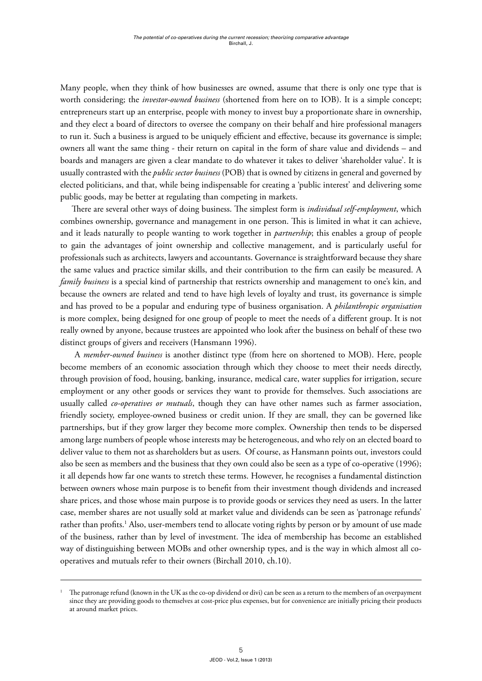Many people, when they think of how businesses are owned, assume that there is only one type that is worth considering; the *investor-owned business* (shortened from here on to IOB). It is a simple concept; entrepreneurs start up an enterprise, people with money to invest buy a proportionate share in ownership, and they elect a board of directors to oversee the company on their behalf and hire professional managers to run it. Such a business is argued to be uniquely efficient and effective, because its governance is simple; owners all want the same thing - their return on capital in the form of share value and dividends – and boards and managers are given a clear mandate to do whatever it takes to deliver 'shareholder value'. It is usually contrasted with the *public sector business* (POB) that is owned by citizens in general and governed by elected politicians, and that, while being indispensable for creating a 'public interest' and delivering some public goods, may be better at regulating than competing in markets.

There are several other ways of doing business. The simplest form is *individual self-employment*, which combines ownership, governance and management in one person. This is limited in what it can achieve, and it leads naturally to people wanting to work together in *partnership*; this enables a group of people to gain the advantages of joint ownership and collective management, and is particularly useful for professionals such as architects, lawyers and accountants. Governance is straightforward because they share the same values and practice similar skills, and their contribution to the firm can easily be measured. A *family business* is a special kind of partnership that restricts ownership and management to one's kin, and because the owners are related and tend to have high levels of loyalty and trust, its governance is simple and has proved to be a popular and enduring type of business organisation. A *philanthropic organisation*  is more complex, being designed for one group of people to meet the needs of a different group. It is not really owned by anyone, because trustees are appointed who look after the business on behalf of these two distinct groups of givers and receivers (Hansmann 1996).

A *member-owned business* is another distinct type (from here on shortened to MOB). Here, people become members of an economic association through which they choose to meet their needs directly, through provision of food, housing, banking, insurance, medical care, water supplies for irrigation, secure employment or any other goods or services they want to provide for themselves. Such associations are usually called *co-operatives or mutuals*, though they can have other names such as farmer association, friendly society, employee-owned business or credit union. If they are small, they can be governed like partnerships, but if they grow larger they become more complex. Ownership then tends to be dispersed among large numbers of people whose interests may be heterogeneous, and who rely on an elected board to deliver value to them not as shareholders but as users. Of course, as Hansmann points out, investors could also be seen as members and the business that they own could also be seen as a type of co-operative (1996); it all depends how far one wants to stretch these terms. However, he recognises a fundamental distinction between owners whose main purpose is to benefit from their investment though dividends and increased share prices, and those whose main purpose is to provide goods or services they need as users. In the latter case, member shares are not usually sold at market value and dividends can be seen as 'patronage refunds' rather than profits.<sup>1</sup> Also, user-members tend to allocate voting rights by person or by amount of use made of the business, rather than by level of investment. The idea of membership has become an established way of distinguishing between MOBs and other ownership types, and is the way in which almost all cooperatives and mutuals refer to their owners (Birchall 2010, ch.10).

<sup>1</sup> The patronage refund (known in the UK as the co-op dividend or divi) can be seen as a return to the members of an overpayment since they are providing goods to themselves at cost-price plus expenses, but for convenience are initially pricing their products at around market prices.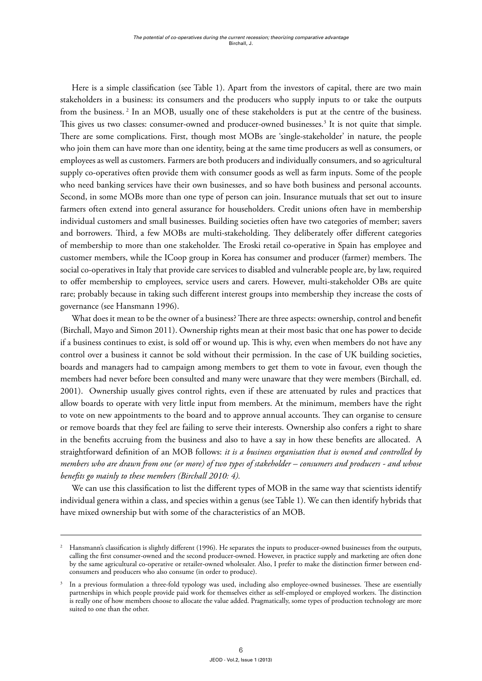Here is a simple classification (see Table 1). Apart from the investors of capital, there are two main stakeholders in a business: its consumers and the producers who supply inputs to or take the outputs from the business. 2 In an MOB, usually one of these stakeholders is put at the centre of the business. This gives us two classes: consumer-owned and producer-owned businesses.<sup>3</sup> It is not quite that simple. There are some complications. First, though most MOBs are 'single-stakeholder' in nature, the people who join them can have more than one identity, being at the same time producers as well as consumers, or employees as well as customers. Farmers are both producers and individually consumers, and so agricultural supply co-operatives often provide them with consumer goods as well as farm inputs. Some of the people who need banking services have their own businesses, and so have both business and personal accounts. Second, in some MOBs more than one type of person can join. Insurance mutuals that set out to insure farmers often extend into general assurance for householders. Credit unions often have in membership individual customers and small businesses. Building societies often have two categories of member; savers and borrowers. Third, a few MOBs are multi-stakeholding. They deliberately offer different categories of membership to more than one stakeholder. The Eroski retail co-operative in Spain has employee and customer members, while the ICoop group in Korea has consumer and producer (farmer) members. The social co-operatives in Italy that provide care services to disabled and vulnerable people are, by law, required to offer membership to employees, service users and carers. However, multi-stakeholder OBs are quite rare; probably because in taking such different interest groups into membership they increase the costs of governance (see Hansmann 1996).

What does it mean to be the owner of a business? There are three aspects: ownership, control and benefit (Birchall, Mayo and Simon 2011). Ownership rights mean at their most basic that one has power to decide if a business continues to exist, is sold off or wound up. This is why, even when members do not have any control over a business it cannot be sold without their permission. In the case of UK building societies, boards and managers had to campaign among members to get them to vote in favour, even though the members had never before been consulted and many were unaware that they were members (Birchall, ed. 2001). Ownership usually gives control rights, even if these are attenuated by rules and practices that allow boards to operate with very little input from members. At the minimum, members have the right to vote on new appointments to the board and to approve annual accounts. They can organise to censure or remove boards that they feel are failing to serve their interests. Ownership also confers a right to share in the benefits accruing from the business and also to have a say in how these benefits are allocated. A straightforward definition of an MOB follows: *it is a business organisation that is owned and controlled by members who are drawn from one (or more) of two types of stakeholder – consumers and producers - and whose benefits go mainly to these members (Birchall 2010: 4).* 

We can use this classification to list the different types of MOB in the same way that scientists identify individual genera within a class, and species within a genus (see Table 1). We can then identify hybrids that have mixed ownership but with some of the characteristics of an MOB.

<sup>2</sup> Hansmann's classification is slightly different (1996). He separates the inputs to producer-owned businesses from the outputs, calling the first consumer-owned and the second producer-owned. However, in practice supply and marketing are often done by the same agricultural co-operative or retailer-owned wholesaler. Also, I prefer to make the distinction firmer between endconsumers and producers who also consume (in order to produce).

<sup>&</sup>lt;sup>3</sup> In a previous formulation a three-fold typology was used, including also employee-owned businesses. These are essentially partnerships in which people provide paid work for themselves either as self-employed or employed workers. The distinction is really one of how members choose to allocate the value added. Pragmatically, some types of production technology are more suited to one than the other.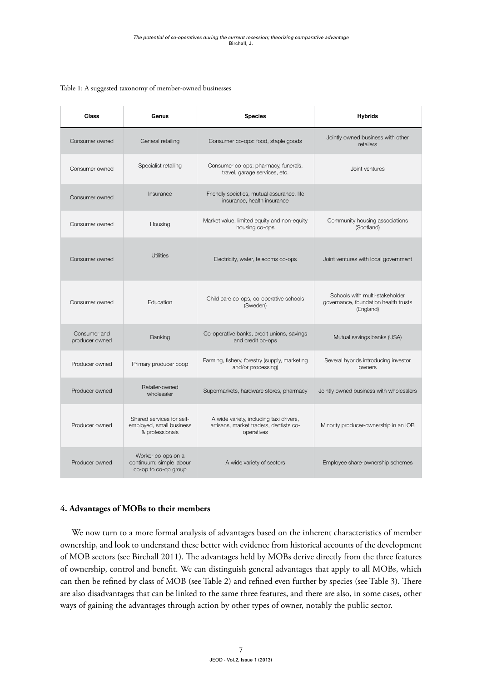| <b>Class</b>                   | Genus                                                                    | <b>Species</b>                                                                                  | <b>Hybrids</b>                                                                      |
|--------------------------------|--------------------------------------------------------------------------|-------------------------------------------------------------------------------------------------|-------------------------------------------------------------------------------------|
| Consumer owned                 | General retailing                                                        | Consumer co-ops: food, staple goods                                                             | Jointly owned business with other<br>retailers                                      |
| Consumer owned                 | Specialist retailing                                                     | Consumer co-ops: pharmacy, funerals,<br>travel, garage services, etc.                           | Joint ventures                                                                      |
| Consumer owned                 | Insurance                                                                | Friendly societies, mutual assurance, life<br>insurance, health insurance                       |                                                                                     |
| Consumer owned                 | Housing                                                                  | Market value, limited equity and non-equity<br>housing co-ops                                   | Community housing associations<br>(Scotland)                                        |
| Consumer owned                 | <b>Utilities</b>                                                         | Electricity, water, telecoms co-ops                                                             | Joint ventures with local government                                                |
| Consumer owned                 | Education                                                                | Child care co-ops, co-operative schools<br>(Sweden)                                             | Schools with multi-stakeholder<br>governance, foundation health trusts<br>(England) |
| Consumer and<br>producer owned | Banking                                                                  | Co-operative banks, credit unions, savings<br>and credit co-ops                                 | Mutual savings banks (USA)                                                          |
| Producer owned                 | Primary producer coop                                                    | Farming, fishery, forestry (supply, marketing<br>and/or processing)                             | Several hybrids introducing investor<br>owners                                      |
| Producer owned                 | Retailer-owned<br>wholesaler                                             | Supermarkets, hardware stores, pharmacy                                                         | Jointly owned business with wholesalers                                             |
| Producer owned                 | Shared services for self-<br>employed, small business<br>& professionals | A wide variety, including taxi drivers,<br>artisans, market traders, dentists co-<br>operatives | Minority producer-ownership in an IOB                                               |
| Producer owned                 | Worker co-ops on a<br>continuum: simple labour<br>co-op to co-op group   | A wide variety of sectors                                                                       | Employee share-ownership schemes                                                    |

#### Table 1: A suggested taxonomy of member-owned businesses

## **4. Advantages of MOBs to their members**

We now turn to a more formal analysis of advantages based on the inherent characteristics of member ownership, and look to understand these better with evidence from historical accounts of the development of MOB sectors (see Birchall 2011). The advantages held by MOBs derive directly from the three features of ownership, control and benefit. We can distinguish general advantages that apply to all MOBs, which can then be refined by class of MOB (see Table 2) and refined even further by species (see Table 3). There are also disadvantages that can be linked to the same three features, and there are also, in some cases, other ways of gaining the advantages through action by other types of owner, notably the public sector.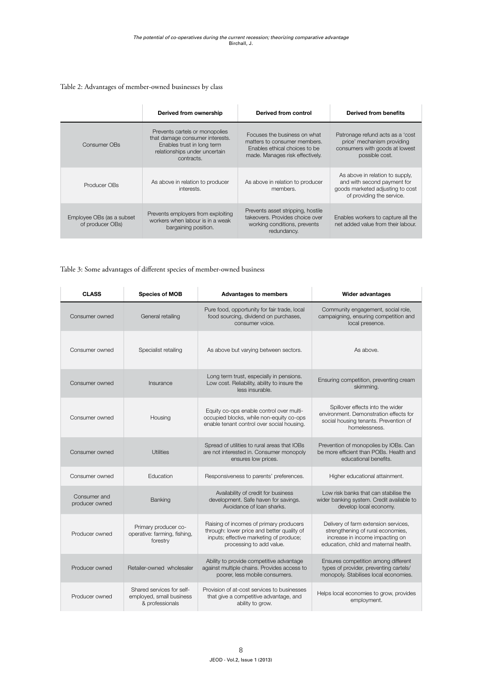# Table 2: Advantages of member-owned businesses by class

|                                               | Derived from ownership                                                                                                                         | Derived from control                                                                                                             | Derived from benefits                                                                                                           |
|-----------------------------------------------|------------------------------------------------------------------------------------------------------------------------------------------------|----------------------------------------------------------------------------------------------------------------------------------|---------------------------------------------------------------------------------------------------------------------------------|
| Consumer OBs                                  | Prevents cartels or monopolies<br>that damage consumer interests.<br>Enables trust in long term<br>relationships under uncertain<br>contracts. | Focuses the business on what<br>matters to consumer members.<br>Enables ethical choices to be<br>made. Manages risk effectively. | Patronage refund acts as a 'cost<br>price' mechanism providing<br>consumers with goods at lowest<br>possible cost.              |
| Producer OBs                                  | As above in relation to producer<br>interests.                                                                                                 | As above in relation to producer<br>members.                                                                                     | As above in relation to supply,<br>and with second payment for<br>goods marketed adjusting to cost<br>of providing the service. |
| Employee OBs (as a subset<br>of producer OBs) | Prevents employers from exploiting<br>workers when labour is in a weak<br>bargaining position.                                                 | Prevents asset stripping, hostile<br>takeovers. Provides choice over<br>working conditions, prevents<br>redundancy.              | Enables workers to capture all the<br>net added value from their labour.                                                        |

# Table 3: Some advantages of different species of member-owned business

| <b>CLASS</b>                   | <b>Species of MOB</b>                                                    | <b>Advantages to members</b>                                                                                                                                 | <b>Wider advantages</b>                                                                                                                               |
|--------------------------------|--------------------------------------------------------------------------|--------------------------------------------------------------------------------------------------------------------------------------------------------------|-------------------------------------------------------------------------------------------------------------------------------------------------------|
| Consumer owned                 | General retailing                                                        | Pure food, opportunity for fair trade, local<br>food sourcing, dividend on purchases,<br>consumer voice.                                                     | Community engagement, social role,<br>campaigning, ensuring competition and<br>local presence.                                                        |
| Consumer owned                 | Specialist retailing                                                     | As above but varying between sectors.                                                                                                                        | As above.                                                                                                                                             |
| Consumer owned                 | Insurance                                                                | Long term trust, especially in pensions.<br>Low cost. Reliability, ability to insure the<br>less insurable.                                                  | Ensuring competition, preventing cream<br>skimming.                                                                                                   |
| Consumer owned                 | Housing                                                                  | Equity co-ops enable control over multi-<br>occupied blocks, while non-equity co-ops<br>enable tenant control over social housing.                           | Spillover effects into the wider<br>environment. Demonstration effects for<br>social housing tenants. Prevention of<br>homelessness.                  |
| Consumer owned                 | <b>Utilities</b>                                                         | Spread of utilities to rural areas that IOBs<br>are not interested in. Consumer monopoly<br>ensures low prices.                                              | Prevention of monopolies by IOBs. Can<br>be more efficient than POBs. Health and<br>educational benefits.                                             |
| Consumer owned                 | Education                                                                | Responsiveness to parents' preferences.                                                                                                                      | Higher educational attainment.                                                                                                                        |
| Consumer and<br>producer owned | Banking                                                                  | Availability of credit for business<br>development. Safe haven for savings.<br>Avoidance of loan sharks.                                                     | Low risk banks that can stabilise the<br>wider banking system. Credit available to<br>develop local economy.                                          |
| Producer owned                 | Primary producer co-<br>operative: farming, fishing,<br>forestry         | Raising of incomes of primary producers<br>through: lower price and better quality of<br>inputs; effective marketing of produce;<br>processing to add value. | Delivery of farm extension services,<br>strengthening of rural economies,<br>increase in income impacting on<br>education, child and maternal health. |
| Producer owned                 | Retailer-owned wholesaler                                                | Ability to provide competitive advantage<br>against multiple chains. Provides access to<br>poorer, less mobile consumers.                                    | Ensures competition among different<br>types of provider, preventing cartels/<br>monopoly. Stabilises local economies.                                |
| Producer owned                 | Shared services for self-<br>employed, small business<br>& professionals | Provision of at-cost services to businesses<br>that give a competitive advantage, and<br>ability to grow.                                                    | Helps local economies to grow, provides<br>employment.                                                                                                |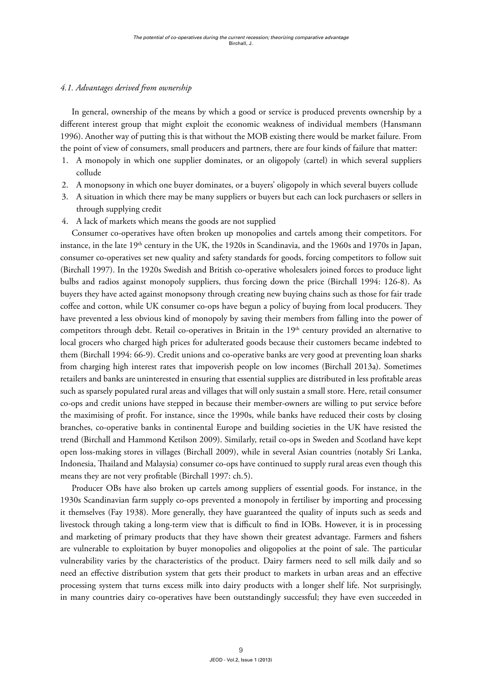# *4.1. Advantages derived from ownership*

In general, ownership of the means by which a good or service is produced prevents ownership by a different interest group that might exploit the economic weakness of individual members (Hansmann 1996). Another way of putting this is that without the MOB existing there would be market failure. From the point of view of consumers, small producers and partners, there are four kinds of failure that matter:

- 1. A monopoly in which one supplier dominates, or an oligopoly (cartel) in which several suppliers collude
- 2. A monopsony in which one buyer dominates, or a buyers' oligopoly in which several buyers collude
- 3. A situation in which there may be many suppliers or buyers but each can lock purchasers or sellers in through supplying credit
- 4. A lack of markets which means the goods are not supplied

Consumer co-operatives have often broken up monopolies and cartels among their competitors. For instance, in the late 19<sup>th</sup> century in the UK, the 1920s in Scandinavia, and the 1960s and 1970s in Japan, consumer co-operatives set new quality and safety standards for goods, forcing competitors to follow suit (Birchall 1997). In the 1920s Swedish and British co-operative wholesalers joined forces to produce light bulbs and radios against monopoly suppliers, thus forcing down the price (Birchall 1994: 126-8). As buyers they have acted against monopsony through creating new buying chains such as those for fair trade coffee and cotton, while UK consumer co-ops have begun a policy of buying from local producers. They have prevented a less obvious kind of monopoly by saving their members from falling into the power of competitors through debt. Retail co-operatives in Britain in the 19<sup>th</sup> century provided an alternative to local grocers who charged high prices for adulterated goods because their customers became indebted to them (Birchall 1994: 66-9). Credit unions and co-operative banks are very good at preventing loan sharks from charging high interest rates that impoverish people on low incomes (Birchall 2013a). Sometimes retailers and banks are uninterested in ensuring that essential supplies are distributed in less profitable areas such as sparsely populated rural areas and villages that will only sustain a small store. Here, retail consumer co-ops and credit unions have stepped in because their member-owners are willing to put service before the maximising of profit. For instance, since the 1990s, while banks have reduced their costs by closing branches, co-operative banks in continental Europe and building societies in the UK have resisted the trend (Birchall and Hammond Ketilson 2009). Similarly, retail co-ops in Sweden and Scotland have kept open loss-making stores in villages (Birchall 2009), while in several Asian countries (notably Sri Lanka, Indonesia, Thailand and Malaysia) consumer co-ops have continued to supply rural areas even though this means they are not very profitable (Birchall 1997: ch.5).

Producer OBs have also broken up cartels among suppliers of essential goods. For instance, in the 1930s Scandinavian farm supply co-ops prevented a monopoly in fertiliser by importing and processing it themselves (Fay 1938). More generally, they have guaranteed the quality of inputs such as seeds and livestock through taking a long-term view that is difficult to find in IOBs. However, it is in processing and marketing of primary products that they have shown their greatest advantage. Farmers and fishers are vulnerable to exploitation by buyer monopolies and oligopolies at the point of sale. The particular vulnerability varies by the characteristics of the product. Dairy farmers need to sell milk daily and so need an effective distribution system that gets their product to markets in urban areas and an effective processing system that turns excess milk into dairy products with a longer shelf life. Not surprisingly, in many countries dairy co-operatives have been outstandingly successful; they have even succeeded in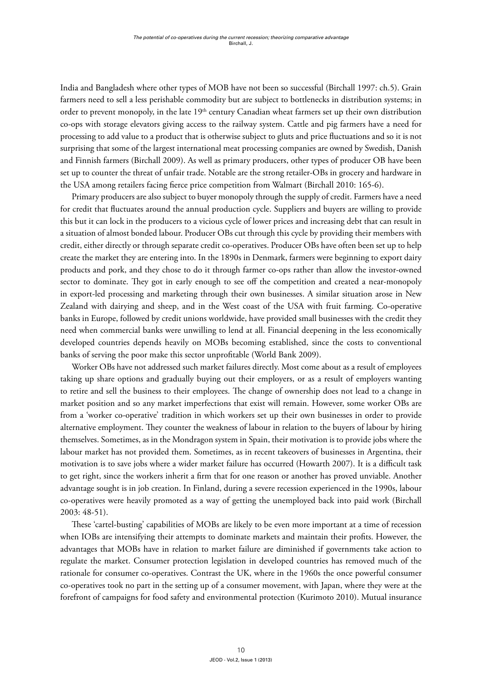India and Bangladesh where other types of MOB have not been so successful (Birchall 1997: ch.5). Grain farmers need to sell a less perishable commodity but are subject to bottlenecks in distribution systems; in order to prevent monopoly, in the late 19<sup>th</sup> century Canadian wheat farmers set up their own distribution co-ops with storage elevators giving access to the railway system. Cattle and pig farmers have a need for processing to add value to a product that is otherwise subject to gluts and price fluctuations and so it is not surprising that some of the largest international meat processing companies are owned by Swedish, Danish and Finnish farmers (Birchall 2009). As well as primary producers, other types of producer OB have been set up to counter the threat of unfair trade. Notable are the strong retailer-OBs in grocery and hardware in the USA among retailers facing fierce price competition from Walmart (Birchall 2010: 165-6).

Primary producers are also subject to buyer monopoly through the supply of credit. Farmers have a need for credit that fluctuates around the annual production cycle. Suppliers and buyers are willing to provide this but it can lock in the producers to a vicious cycle of lower prices and increasing debt that can result in a situation of almost bonded labour. Producer OBs cut through this cycle by providing their members with credit, either directly or through separate credit co-operatives. Producer OBs have often been set up to help create the market they are entering into. In the 1890s in Denmark, farmers were beginning to export dairy products and pork, and they chose to do it through farmer co-ops rather than allow the investor-owned sector to dominate. They got in early enough to see off the competition and created a near-monopoly in export-led processing and marketing through their own businesses. A similar situation arose in New Zealand with dairying and sheep, and in the West coast of the USA with fruit farming. Co-operative banks in Europe, followed by credit unions worldwide, have provided small businesses with the credit they need when commercial banks were unwilling to lend at all. Financial deepening in the less economically developed countries depends heavily on MOBs becoming established, since the costs to conventional banks of serving the poor make this sector unprofitable (World Bank 2009).

Worker OBs have not addressed such market failures directly. Most come about as a result of employees taking up share options and gradually buying out their employers, or as a result of employers wanting to retire and sell the business to their employees. The change of ownership does not lead to a change in market position and so any market imperfections that exist will remain. However, some worker OBs are from a 'worker co-operative' tradition in which workers set up their own businesses in order to provide alternative employment. They counter the weakness of labour in relation to the buyers of labour by hiring themselves. Sometimes, as in the Mondragon system in Spain, their motivation is to provide jobs where the labour market has not provided them. Sometimes, as in recent takeovers of businesses in Argentina, their motivation is to save jobs where a wider market failure has occurred (Howarth 2007). It is a difficult task to get right, since the workers inherit a firm that for one reason or another has proved unviable. Another advantage sought is in job creation. In Finland, during a severe recession experienced in the 1990s, labour co-operatives were heavily promoted as a way of getting the unemployed back into paid work (Birchall 2003: 48-51).

These 'cartel-busting' capabilities of MOBs are likely to be even more important at a time of recession when IOBs are intensifying their attempts to dominate markets and maintain their profits. However, the advantages that MOBs have in relation to market failure are diminished if governments take action to regulate the market. Consumer protection legislation in developed countries has removed much of the rationale for consumer co-operatives. Contrast the UK, where in the 1960s the once powerful consumer co-operatives took no part in the setting up of a consumer movement, with Japan, where they were at the forefront of campaigns for food safety and environmental protection (Kurimoto 2010). Mutual insurance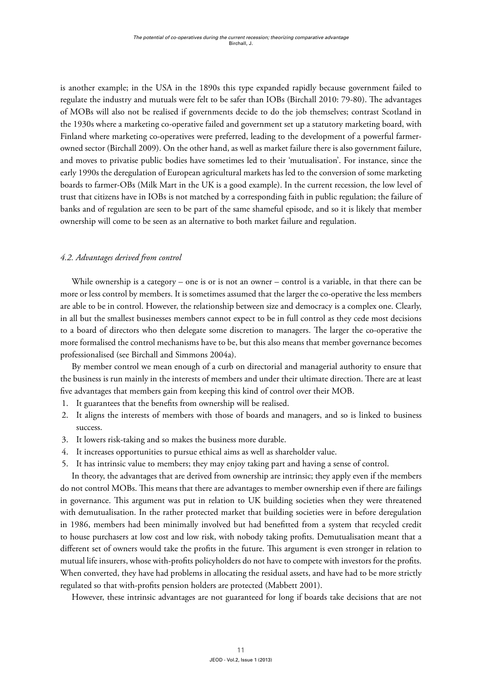is another example; in the USA in the 1890s this type expanded rapidly because government failed to regulate the industry and mutuals were felt to be safer than IOBs (Birchall 2010: 79-80). The advantages of MOBs will also not be realised if governments decide to do the job themselves; contrast Scotland in the 1930s where a marketing co-operative failed and government set up a statutory marketing board, with Finland where marketing co-operatives were preferred, leading to the development of a powerful farmerowned sector (Birchall 2009). On the other hand, as well as market failure there is also government failure, and moves to privatise public bodies have sometimes led to their 'mutualisation'. For instance, since the early 1990s the deregulation of European agricultural markets has led to the conversion of some marketing boards to farmer-OBs (Milk Mart in the UK is a good example). In the current recession, the low level of trust that citizens have in IOBs is not matched by a corresponding faith in public regulation; the failure of banks and of regulation are seen to be part of the same shameful episode, and so it is likely that member ownership will come to be seen as an alternative to both market failure and regulation.

# *4.2. Advantages derived from control*

While ownership is a category – one is or is not an owner – control is a variable, in that there can be more or less control by members. It is sometimes assumed that the larger the co-operative the less members are able to be in control. However, the relationship between size and democracy is a complex one. Clearly, in all but the smallest businesses members cannot expect to be in full control as they cede most decisions to a board of directors who then delegate some discretion to managers. The larger the co-operative the more formalised the control mechanisms have to be, but this also means that member governance becomes professionalised (see Birchall and Simmons 2004a).

By member control we mean enough of a curb on directorial and managerial authority to ensure that the business is run mainly in the interests of members and under their ultimate direction. There are at least five advantages that members gain from keeping this kind of control over their MOB.

- 1. It guarantees that the benefits from ownership will be realised.
- 2. It aligns the interests of members with those of boards and managers, and so is linked to business success.
- 3. It lowers risk-taking and so makes the business more durable.
- 4. It increases opportunities to pursue ethical aims as well as shareholder value.
- 5. It has intrinsic value to members; they may enjoy taking part and having a sense of control.

In theory, the advantages that are derived from ownership are intrinsic; they apply even if the members do not control MOBs. This means that there are advantages to member ownership even if there are failings in governance. This argument was put in relation to UK building societies when they were threatened with demutualisation. In the rather protected market that building societies were in before deregulation in 1986, members had been minimally involved but had benefitted from a system that recycled credit to house purchasers at low cost and low risk, with nobody taking profits. Demutualisation meant that a different set of owners would take the profits in the future. This argument is even stronger in relation to mutual life insurers, whose with-profits policyholders do not have to compete with investors for the profits. When converted, they have had problems in allocating the residual assets, and have had to be more strictly regulated so that with-profits pension holders are protected (Mabbett 2001).

However, these intrinsic advantages are not guaranteed for long if boards take decisions that are not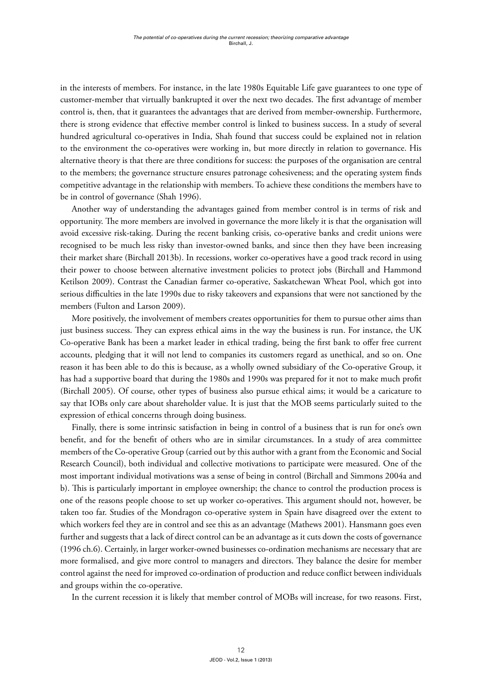in the interests of members. For instance, in the late 1980s Equitable Life gave guarantees to one type of customer-member that virtually bankrupted it over the next two decades. The first advantage of member control is, then, that it guarantees the advantages that are derived from member-ownership. Furthermore, there is strong evidence that effective member control is linked to business success. In a study of several hundred agricultural co-operatives in India, Shah found that success could be explained not in relation to the environment the co-operatives were working in, but more directly in relation to governance. His alternative theory is that there are three conditions for success: the purposes of the organisation are central to the members; the governance structure ensures patronage cohesiveness; and the operating system finds competitive advantage in the relationship with members. To achieve these conditions the members have to be in control of governance (Shah 1996).

Another way of understanding the advantages gained from member control is in terms of risk and opportunity. The more members are involved in governance the more likely it is that the organisation will avoid excessive risk-taking. During the recent banking crisis, co-operative banks and credit unions were recognised to be much less risky than investor-owned banks, and since then they have been increasing their market share (Birchall 2013b). In recessions, worker co-operatives have a good track record in using their power to choose between alternative investment policies to protect jobs (Birchall and Hammond Ketilson 2009). Contrast the Canadian farmer co-operative, Saskatchewan Wheat Pool, which got into serious difficulties in the late 1990s due to risky takeovers and expansions that were not sanctioned by the members (Fulton and Larson 2009).

More positively, the involvement of members creates opportunities for them to pursue other aims than just business success. They can express ethical aims in the way the business is run. For instance, the UK Co-operative Bank has been a market leader in ethical trading, being the first bank to offer free current accounts, pledging that it will not lend to companies its customers regard as unethical, and so on. One reason it has been able to do this is because, as a wholly owned subsidiary of the Co-operative Group, it has had a supportive board that during the 1980s and 1990s was prepared for it not to make much profit (Birchall 2005). Of course, other types of business also pursue ethical aims; it would be a caricature to say that IOBs only care about shareholder value. It is just that the MOB seems particularly suited to the expression of ethical concerns through doing business.

Finally, there is some intrinsic satisfaction in being in control of a business that is run for one's own benefit, and for the benefit of others who are in similar circumstances. In a study of area committee members of the Co-operative Group (carried out by this author with a grant from the Economic and Social Research Council), both individual and collective motivations to participate were measured. One of the most important individual motivations was a sense of being in control (Birchall and Simmons 2004a and b). This is particularly important in employee ownership; the chance to control the production process is one of the reasons people choose to set up worker co-operatives. This argument should not, however, be taken too far. Studies of the Mondragon co-operative system in Spain have disagreed over the extent to which workers feel they are in control and see this as an advantage (Mathews 2001). Hansmann goes even further and suggests that a lack of direct control can be an advantage as it cuts down the costs of governance (1996 ch.6). Certainly, in larger worker-owned businesses co-ordination mechanisms are necessary that are more formalised, and give more control to managers and directors. They balance the desire for member control against the need for improved co-ordination of production and reduce conflict between individuals and groups within the co-operative.

In the current recession it is likely that member control of MOBs will increase, for two reasons. First,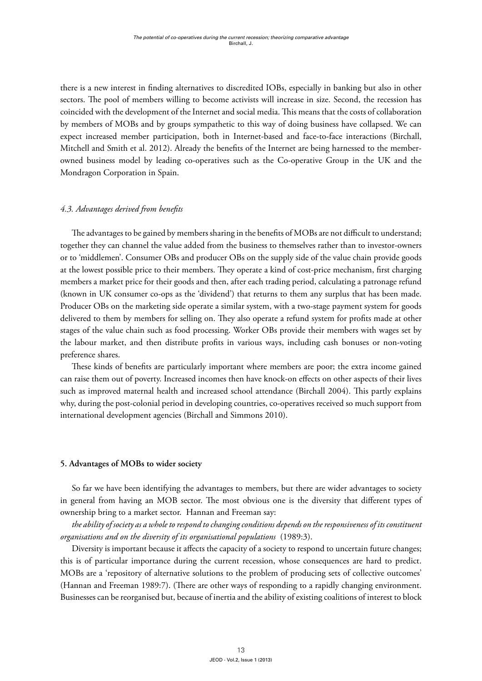there is a new interest in finding alternatives to discredited IOBs, especially in banking but also in other sectors. The pool of members willing to become activists will increase in size. Second, the recession has coincided with the development of the Internet and social media. This means that the costs of collaboration by members of MOBs and by groups sympathetic to this way of doing business have collapsed. We can expect increased member participation, both in Internet-based and face-to-face interactions (Birchall, Mitchell and Smith et al. 2012). Already the benefits of the Internet are being harnessed to the memberowned business model by leading co-operatives such as the Co-operative Group in the UK and the Mondragon Corporation in Spain.

## *4.3. Advantages derived from benefits*

The advantages to be gained by members sharing in the benefits of MOBs are not difficult to understand; together they can channel the value added from the business to themselves rather than to investor-owners or to 'middlemen'. Consumer OBs and producer OBs on the supply side of the value chain provide goods at the lowest possible price to their members. They operate a kind of cost-price mechanism, first charging members a market price for their goods and then, after each trading period, calculating a patronage refund (known in UK consumer co-ops as the 'dividend') that returns to them any surplus that has been made. Producer OBs on the marketing side operate a similar system, with a two-stage payment system for goods delivered to them by members for selling on. They also operate a refund system for profits made at other stages of the value chain such as food processing. Worker OBs provide their members with wages set by the labour market, and then distribute profits in various ways, including cash bonuses or non-voting preference shares.

These kinds of benefits are particularly important where members are poor; the extra income gained can raise them out of poverty. Increased incomes then have knock-on effects on other aspects of their lives such as improved maternal health and increased school attendance (Birchall 2004). This partly explains why, during the post-colonial period in developing countries, co-operatives received so much support from international development agencies (Birchall and Simmons 2010).

## **5. Advantages of MOBs to wider society**

So far we have been identifying the advantages to members, but there are wider advantages to society in general from having an MOB sector. The most obvious one is the diversity that different types of ownership bring to a market sector. Hannan and Freeman say:

*the ability of society as a whole to respond to changing conditions depends on the responsiveness of its constituent organisations and on the diversity of its organisational populations* (1989:3).

Diversity is important because it affects the capacity of a society to respond to uncertain future changes; this is of particular importance during the current recession, whose consequences are hard to predict. MOBs are a 'repository of alternative solutions to the problem of producing sets of collective outcomes' (Hannan and Freeman 1989:7). (There are other ways of responding to a rapidly changing environment. Businesses can be reorganised but, because of inertia and the ability of existing coalitions of interest to block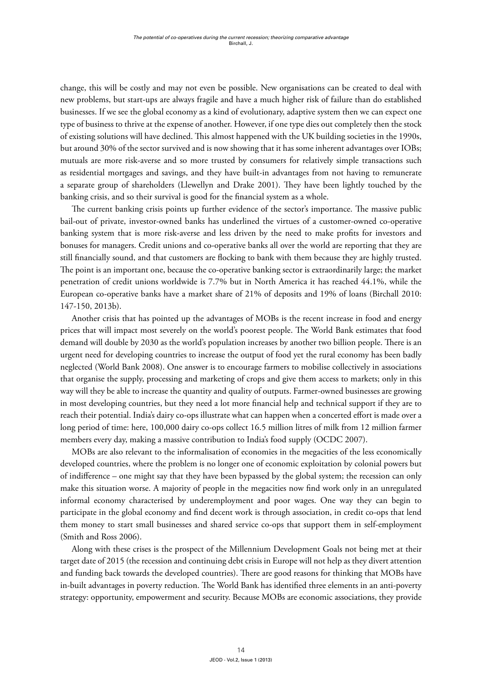change, this will be costly and may not even be possible. New organisations can be created to deal with new problems, but start-ups are always fragile and have a much higher risk of failure than do established businesses. If we see the global economy as a kind of evolutionary, adaptive system then we can expect one type of business to thrive at the expense of another. However, if one type dies out completely then the stock of existing solutions will have declined. This almost happened with the UK building societies in the 1990s, but around 30% of the sector survived and is now showing that it has some inherent advantages over IOBs; mutuals are more risk-averse and so more trusted by consumers for relatively simple transactions such as residential mortgages and savings, and they have built-in advantages from not having to remunerate a separate group of shareholders (Llewellyn and Drake 2001). They have been lightly touched by the banking crisis, and so their survival is good for the financial system as a whole.

The current banking crisis points up further evidence of the sector's importance. The massive public bail-out of private, investor-owned banks has underlined the virtues of a customer-owned co-operative banking system that is more risk-averse and less driven by the need to make profits for investors and bonuses for managers. Credit unions and co-operative banks all over the world are reporting that they are still financially sound, and that customers are flocking to bank with them because they are highly trusted. The point is an important one, because the co-operative banking sector is extraordinarily large; the market penetration of credit unions worldwide is 7.7% but in North America it has reached 44.1%, while the European co-operative banks have a market share of 21% of deposits and 19% of loans (Birchall 2010: 147-150, 2013b).

Another crisis that has pointed up the advantages of MOBs is the recent increase in food and energy prices that will impact most severely on the world's poorest people. The World Bank estimates that food demand will double by 2030 as the world's population increases by another two billion people. There is an urgent need for developing countries to increase the output of food yet the rural economy has been badly neglected (World Bank 2008). One answer is to encourage farmers to mobilise collectively in associations that organise the supply, processing and marketing of crops and give them access to markets; only in this way will they be able to increase the quantity and quality of outputs. Farmer-owned businesses are growing in most developing countries, but they need a lot more financial help and technical support if they are to reach their potential. India's dairy co-ops illustrate what can happen when a concerted effort is made over a long period of time: here, 100,000 dairy co-ops collect 16.5 million litres of milk from 12 million farmer members every day, making a massive contribution to India's food supply (OCDC 2007).

MOBs are also relevant to the informalisation of economies in the megacities of the less economically developed countries, where the problem is no longer one of economic exploitation by colonial powers but of indifference – one might say that they have been bypassed by the global system; the recession can only make this situation worse. A majority of people in the megacities now find work only in an unregulated informal economy characterised by underemployment and poor wages. One way they can begin to participate in the global economy and find decent work is through association, in credit co-ops that lend them money to start small businesses and shared service co-ops that support them in self-employment (Smith and Ross 2006).

Along with these crises is the prospect of the Millennium Development Goals not being met at their target date of 2015 (the recession and continuing debt crisis in Europe will not help as they divert attention and funding back towards the developed countries). There are good reasons for thinking that MOBs have in-built advantages in poverty reduction. The World Bank has identified three elements in an anti-poverty strategy: opportunity, empowerment and security. Because MOBs are economic associations, they provide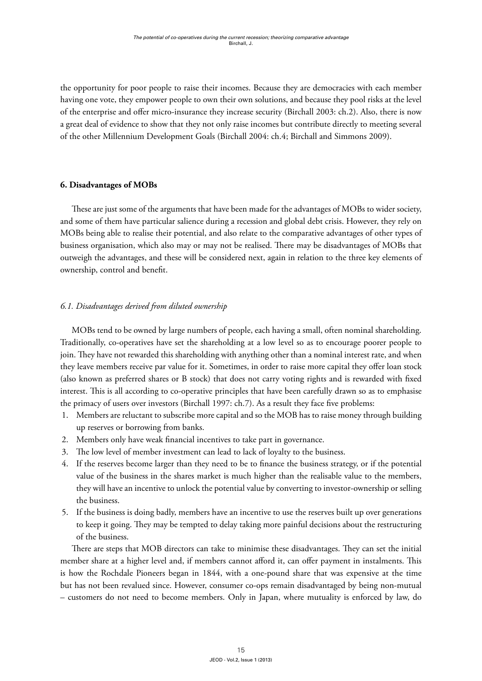the opportunity for poor people to raise their incomes. Because they are democracies with each member having one vote, they empower people to own their own solutions, and because they pool risks at the level of the enterprise and offer micro-insurance they increase security (Birchall 2003: ch.2). Also, there is now a great deal of evidence to show that they not only raise incomes but contribute directly to meeting several of the other Millennium Development Goals (Birchall 2004: ch.4; Birchall and Simmons 2009).

## **6. Disadvantages of MOBs**

These are just some of the arguments that have been made for the advantages of MOBs to wider society, and some of them have particular salience during a recession and global debt crisis. However, they rely on MOBs being able to realise their potential, and also relate to the comparative advantages of other types of business organisation, which also may or may not be realised. There may be disadvantages of MOBs that outweigh the advantages, and these will be considered next, again in relation to the three key elements of ownership, control and benefit.

## *6.1. Disadvantages derived from diluted ownership*

MOBs tend to be owned by large numbers of people, each having a small, often nominal shareholding. Traditionally, co-operatives have set the shareholding at a low level so as to encourage poorer people to join. They have not rewarded this shareholding with anything other than a nominal interest rate, and when they leave members receive par value for it. Sometimes, in order to raise more capital they offer loan stock (also known as preferred shares or B stock) that does not carry voting rights and is rewarded with fixed interest. This is all according to co-operative principles that have been carefully drawn so as to emphasise the primacy of users over investors (Birchall 1997: ch.7). As a result they face five problems:

- 1. Members are reluctant to subscribe more capital and so the MOB has to raise money through building up reserves or borrowing from banks.
- 2. Members only have weak financial incentives to take part in governance.
- 3. The low level of member investment can lead to lack of loyalty to the business.
- 4. If the reserves become larger than they need to be to finance the business strategy, or if the potential value of the business in the shares market is much higher than the realisable value to the members, they will have an incentive to unlock the potential value by converting to investor-ownership or selling the business.
- 5. If the business is doing badly, members have an incentive to use the reserves built up over generations to keep it going. They may be tempted to delay taking more painful decisions about the restructuring of the business.

There are steps that MOB directors can take to minimise these disadvantages. They can set the initial member share at a higher level and, if members cannot afford it, can offer payment in instalments. This is how the Rochdale Pioneers began in 1844, with a one-pound share that was expensive at the time but has not been revalued since. However, consumer co-ops remain disadvantaged by being non-mutual – customers do not need to become members. Only in Japan, where mutuality is enforced by law, do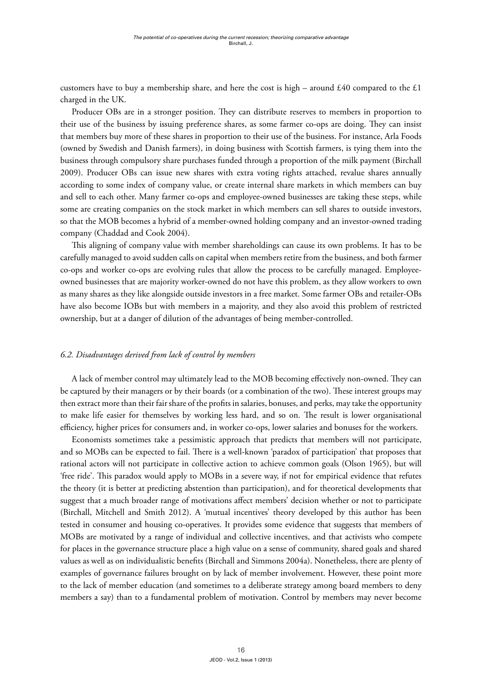customers have to buy a membership share, and here the cost is high – around £40 compared to the £1 charged in the UK.

Producer OBs are in a stronger position. They can distribute reserves to members in proportion to their use of the business by issuing preference shares, as some farmer co-ops are doing. They can insist that members buy more of these shares in proportion to their use of the business. For instance, Arla Foods (owned by Swedish and Danish farmers), in doing business with Scottish farmers, is tying them into the business through compulsory share purchases funded through a proportion of the milk payment (Birchall 2009). Producer OBs can issue new shares with extra voting rights attached, revalue shares annually according to some index of company value, or create internal share markets in which members can buy and sell to each other. Many farmer co-ops and employee-owned businesses are taking these steps, while some are creating companies on the stock market in which members can sell shares to outside investors, so that the MOB becomes a hybrid of a member-owned holding company and an investor-owned trading company (Chaddad and Cook 2004).

This aligning of company value with member shareholdings can cause its own problems. It has to be carefully managed to avoid sudden calls on capital when members retire from the business, and both farmer co-ops and worker co-ops are evolving rules that allow the process to be carefully managed. Employeeowned businesses that are majority worker-owned do not have this problem, as they allow workers to own as many shares as they like alongside outside investors in a free market. Some farmer OBs and retailer-OBs have also become IOBs but with members in a majority, and they also avoid this problem of restricted ownership, but at a danger of dilution of the advantages of being member-controlled.

#### *6.2. Disadvantages derived from lack of control by members*

A lack of member control may ultimately lead to the MOB becoming effectively non-owned. They can be captured by their managers or by their boards (or a combination of the two). These interest groups may then extract more than their fair share of the profits in salaries, bonuses, and perks, may take the opportunity to make life easier for themselves by working less hard, and so on. The result is lower organisational efficiency, higher prices for consumers and, in worker co-ops, lower salaries and bonuses for the workers.

Economists sometimes take a pessimistic approach that predicts that members will not participate, and so MOBs can be expected to fail. There is a well-known 'paradox of participation' that proposes that rational actors will not participate in collective action to achieve common goals (Olson 1965), but will 'free ride'. This paradox would apply to MOBs in a severe way, if not for empirical evidence that refutes the theory (it is better at predicting abstention than participation), and for theoretical developments that suggest that a much broader range of motivations affect members' decision whether or not to participate (Birchall, Mitchell and Smith 2012). A 'mutual incentives' theory developed by this author has been tested in consumer and housing co-operatives. It provides some evidence that suggests that members of MOBs are motivated by a range of individual and collective incentives, and that activists who compete for places in the governance structure place a high value on a sense of community, shared goals and shared values as well as on individualistic benefits (Birchall and Simmons 2004a). Nonetheless, there are plenty of examples of governance failures brought on by lack of member involvement. However, these point more to the lack of member education (and sometimes to a deliberate strategy among board members to deny members a say) than to a fundamental problem of motivation. Control by members may never become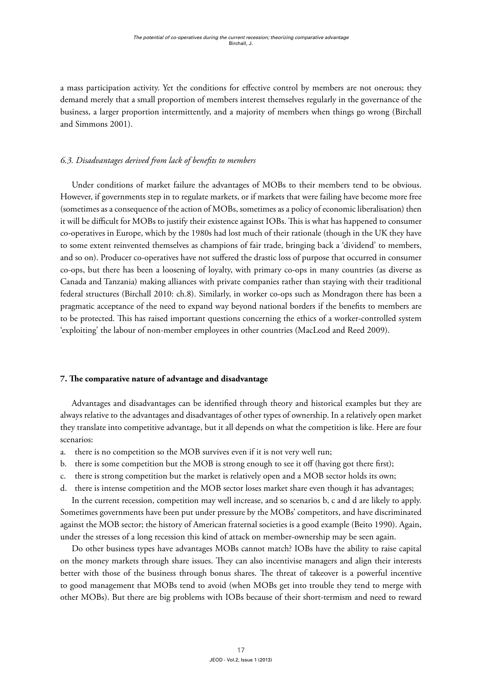a mass participation activity. Yet the conditions for effective control by members are not onerous; they demand merely that a small proportion of members interest themselves regularly in the governance of the business, a larger proportion intermittently, and a majority of members when things go wrong (Birchall and Simmons 2001).

# *6.3. Disadvantages derived from lack of benefits to members*

Under conditions of market failure the advantages of MOBs to their members tend to be obvious. However, if governments step in to regulate markets, or if markets that were failing have become more free (sometimes as a consequence of the action of MOBs, sometimes as a policy of economic liberalisation) then it will be difficult for MOBs to justify their existence against IOBs. This is what has happened to consumer co-operatives in Europe, which by the 1980s had lost much of their rationale (though in the UK they have to some extent reinvented themselves as champions of fair trade, bringing back a 'dividend' to members, and so on). Producer co-operatives have not suffered the drastic loss of purpose that occurred in consumer co-ops, but there has been a loosening of loyalty, with primary co-ops in many countries (as diverse as Canada and Tanzania) making alliances with private companies rather than staying with their traditional federal structures (Birchall 2010: ch.8). Similarly, in worker co-ops such as Mondragon there has been a pragmatic acceptance of the need to expand way beyond national borders if the benefits to members are to be protected. This has raised important questions concerning the ethics of a worker-controlled system 'exploiting' the labour of non-member employees in other countries (MacLeod and Reed 2009).

# **7. The comparative nature of advantage and disadvantage**

Advantages and disadvantages can be identified through theory and historical examples but they are always relative to the advantages and disadvantages of other types of ownership. In a relatively open market they translate into competitive advantage, but it all depends on what the competition is like. Here are four scenarios:

- a. there is no competition so the MOB survives even if it is not very well run;
- b. there is some competition but the MOB is strong enough to see it off (having got there first);
- c. there is strong competition but the market is relatively open and a MOB sector holds its own;
- d. there is intense competition and the MOB sector loses market share even though it has advantages;

In the current recession, competition may well increase, and so scenarios b, c and d are likely to apply. Sometimes governments have been put under pressure by the MOBs' competitors, and have discriminated against the MOB sector; the history of American fraternal societies is a good example (Beito 1990). Again, under the stresses of a long recession this kind of attack on member-ownership may be seen again.

Do other business types have advantages MOBs cannot match? IOBs have the ability to raise capital on the money markets through share issues. They can also incentivise managers and align their interests better with those of the business through bonus shares. The threat of takeover is a powerful incentive to good management that MOBs tend to avoid (when MOBs get into trouble they tend to merge with other MOBs). But there are big problems with IOBs because of their short-termism and need to reward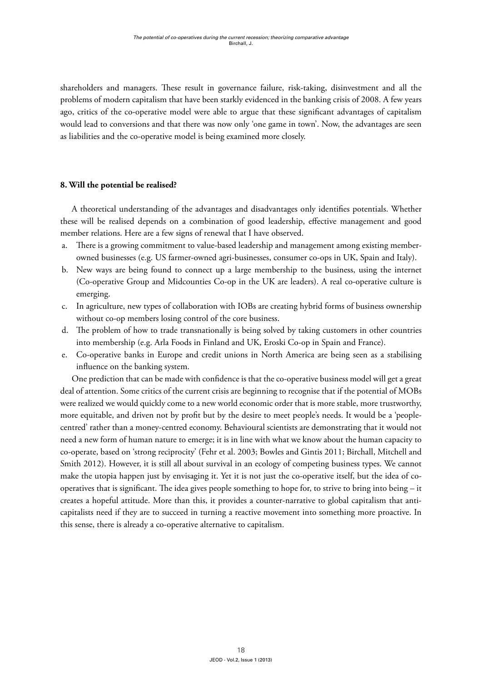shareholders and managers. These result in governance failure, risk-taking, disinvestment and all the problems of modern capitalism that have been starkly evidenced in the banking crisis of 2008. A few years ago, critics of the co-operative model were able to argue that these significant advantages of capitalism would lead to conversions and that there was now only 'one game in town'. Now, the advantages are seen as liabilities and the co-operative model is being examined more closely.

#### **8. Will the potential be realised?**

A theoretical understanding of the advantages and disadvantages only identifies potentials. Whether these will be realised depends on a combination of good leadership, effective management and good member relations. Here are a few signs of renewal that I have observed.

- a. There is a growing commitment to value-based leadership and management among existing memberowned businesses (e.g. US farmer-owned agri-businesses, consumer co-ops in UK, Spain and Italy).
- b. New ways are being found to connect up a large membership to the business, using the internet (Co-operative Group and Midcounties Co-op in the UK are leaders). A real co-operative culture is emerging.
- c. In agriculture, new types of collaboration with IOBs are creating hybrid forms of business ownership without co-op members losing control of the core business.
- d. The problem of how to trade transnationally is being solved by taking customers in other countries into membership (e.g. Arla Foods in Finland and UK, Eroski Co-op in Spain and France).
- e. Co-operative banks in Europe and credit unions in North America are being seen as a stabilising influence on the banking system.

One prediction that can be made with confidence is that the co-operative business model will get a great deal of attention. Some critics of the current crisis are beginning to recognise that if the potential of MOBs were realized we would quickly come to a new world economic order that is more stable, more trustworthy, more equitable, and driven not by profit but by the desire to meet people's needs. It would be a 'peoplecentred' rather than a money-centred economy. Behavioural scientists are demonstrating that it would not need a new form of human nature to emerge; it is in line with what we know about the human capacity to co-operate, based on 'strong reciprocity' (Fehr et al. 2003; Bowles and Gintis 2011; Birchall, Mitchell and Smith 2012). However, it is still all about survival in an ecology of competing business types. We cannot make the utopia happen just by envisaging it. Yet it is not just the co-operative itself, but the idea of cooperatives that is significant. The idea gives people something to hope for, to strive to bring into being – it creates a hopeful attitude. More than this, it provides a counter-narrative to global capitalism that anticapitalists need if they are to succeed in turning a reactive movement into something more proactive. In this sense, there is already a co-operative alternative to capitalism.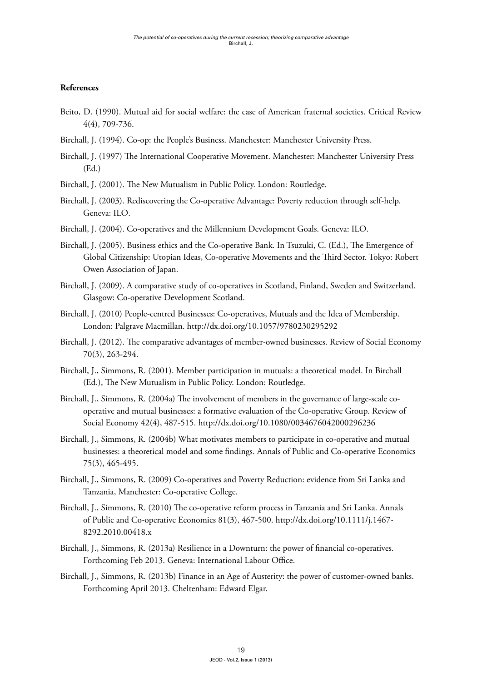# **References**

- Beito, D. (1990). Mutual aid for social welfare: the case of American fraternal societies. Critical Review 4(4), 709-736.
- Birchall, J. (1994). Co-op: the People's Business. Manchester: Manchester University Press.
- Birchall, J. (1997) The International Cooperative Movement. Manchester: Manchester University Press (Ed.)
- Birchall, J. (2001). The New Mutualism in Public Policy. London: Routledge.
- Birchall, J. (2003). Rediscovering the Co-operative Advantage: Poverty reduction through self-help. Geneva: ILO.
- Birchall, J. (2004). Co-operatives and the Millennium Development Goals. Geneva: ILO.
- Birchall, J. (2005). Business ethics and the Co-operative Bank. In Tsuzuki, C. (Ed.), The Emergence of Global Citizenship: Utopian Ideas, Co-operative Movements and the Third Sector. Tokyo: Robert Owen Association of Japan.
- Birchall, J. (2009). A comparative study of co-operatives in Scotland, Finland, Sweden and Switzerland. Glasgow: Co-operative Development Scotland.
- Birchall, J. (2010) People-centred Businesses: Co-operatives, Mutuals and the Idea of Membership. London: Palgrave Macmillan.<http://dx.doi.org/10.1057/9780230295292>
- Birchall, J. (2012). The comparative advantages of member-owned businesses. Review of Social Economy 70(3), 263-294.
- Birchall, J., Simmons, R. (2001). Member participation in mutuals: a theoretical model. In Birchall (Ed.), The New Mutualism in Public Policy. London: Routledge.
- Birchall, J., Simmons, R. (2004a) The involvement of members in the governance of large-scale cooperative and mutual businesses: a formative evaluation of the Co-operative Group. Review of Social Economy 42(4), 487-515. <http://dx.doi.org/10.1080/0034676042000296236>
- Birchall, J., Simmons, R. (2004b) What motivates members to participate in co-operative and mutual businesses: a theoretical model and some findings. Annals of Public and Co-operative Economics 75(3), 465-495.
- Birchall, J., Simmons, R. (2009) Co-operatives and Poverty Reduction: evidence from Sri Lanka and Tanzania, Manchester: Co-operative College.
- Birchall, J., Simmons, R. (2010) The co-operative reform process in Tanzania and Sri Lanka. Annals of Public and Co-operative Economics 81(3), 467-500. [http://dx.doi.org/10.1111/j.1467-](http://dx.doi.org/10.1111/j.1467-8292.2010.00418.x) [8292.2010.00418.x](http://dx.doi.org/10.1111/j.1467-8292.2010.00418.x)
- Birchall, J., Simmons, R. (2013a) Resilience in a Downturn: the power of financial co-operatives. Forthcoming Feb 2013. Geneva: International Labour Office.
- Birchall, J., Simmons, R. (2013b) Finance in an Age of Austerity: the power of customer-owned banks. Forthcoming April 2013. Cheltenham: Edward Elgar.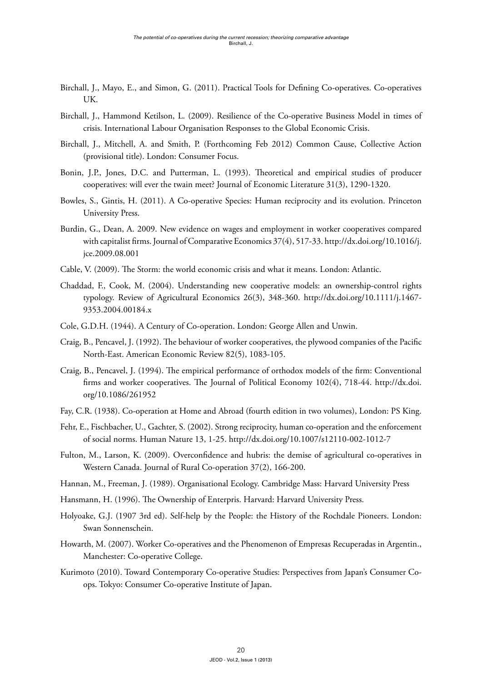- Birchall, J., Mayo, E., and Simon, G. (2011). Practical Tools for Defining Co-operatives. Co-operatives UK.
- Birchall, J., Hammond Ketilson, L. (2009). Resilience of the Co-operative Business Model in times of crisis. International Labour Organisation Responses to the Global Economic Crisis.
- Birchall, J., Mitchell, A. and Smith, P. (Forthcoming Feb 2012) Common Cause, Collective Action (provisional title). London: Consumer Focus.
- Bonin, J.P., Jones, D.C. and Putterman, L. (1993). Theoretical and empirical studies of producer cooperatives: will ever the twain meet? Journal of Economic Literature 31(3), 1290-1320.
- Bowles, S., Gintis, H. (2011). A Co-operative Species: Human reciprocity and its evolution. Princeton University Press.
- Burdin, G., Dean, A. 2009. New evidence on wages and employment in worker cooperatives compared with capitalist firms. Journal of Comparative Economics 37(4), 517-33. [http://dx.doi.org/10.1016/j.](http://dx.doi.org/10.1016/j.jce.2009.08.001) [jce.2009.08.001](http://dx.doi.org/10.1016/j.jce.2009.08.001)
- Cable, V. (2009). The Storm: the world economic crisis and what it means. London: Atlantic.
- Chaddad, F., Cook, M. (2004). Understanding new cooperative models: an ownership-control rights typology. Review of Agricultural Economics 26(3), 348-360. [http://dx.doi.org/10.1111/j.1467-](http://dx.doi.org/10.1111/j.1467-9353.2004.00184.x) [9353.2004.00184.x](http://dx.doi.org/10.1111/j.1467-9353.2004.00184.x)
- Cole, G.D.H. (1944). A Century of Co-operation. London: George Allen and Unwin.
- Craig, B., Pencavel, J. (1992). The behaviour of worker cooperatives, the plywood companies of the Pacific North-East. American Economic Review 82(5), 1083-105.
- Craig, B., Pencavel, J. (1994). The empirical performance of orthodox models of the firm: Conventional firms and worker cooperatives. The Journal of Political Economy 102(4), 718-44. [http://dx.doi.](http://dx.doi.org/10.1086/261952) [org/10.1086/261952](http://dx.doi.org/10.1086/261952)
- Fay, C.R. (1938). Co-operation at Home and Abroad (fourth edition in two volumes), London: PS King.
- Fehr, E., Fischbacher, U., Gachter, S. (2002). Strong reciprocity, human co-operation and the enforcement of social norms. Human Nature 13, 1-25. <http://dx.doi.org/10.1007/s12110-002-1012-7>
- Fulton, M., Larson, K. (2009). Overconfidence and hubris: the demise of agricultural co-operatives in Western Canada. Journal of Rural Co-operation 37(2), 166-200.
- Hannan, M., Freeman, J. (1989). Organisational Ecology. Cambridge Mass: Harvard University Press
- Hansmann, H. (1996). The Ownership of Enterpris. Harvard: Harvard University Press.
- Holyoake, G.J. (1907 3rd ed). Self-help by the People: the History of the Rochdale Pioneers. London: Swan Sonnenschein.
- Howarth, M. (2007). Worker Co-operatives and the Phenomenon of Empresas Recuperadas in Argentin., Manchester: Co-operative College.
- Kurimoto (2010). Toward Contemporary Co-operative Studies: Perspectives from Japan's Consumer Coops. Tokyo: Consumer Co-operative Institute of Japan.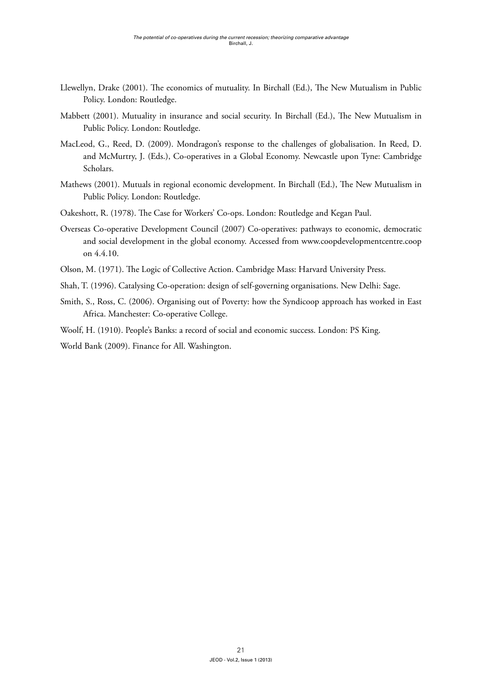- Llewellyn, Drake (2001). The economics of mutuality. In Birchall (Ed.), The New Mutualism in Public Policy. London: Routledge.
- Mabbett (2001). Mutuality in insurance and social security. In Birchall (Ed.), The New Mutualism in Public Policy. London: Routledge.
- MacLeod, G., Reed, D. (2009). Mondragon's response to the challenges of globalisation. In Reed, D. and McMurtry, J. (Eds.), Co-operatives in a Global Economy. Newcastle upon Tyne: Cambridge Scholars.
- Mathews (2001). Mutuals in regional economic development. In Birchall (Ed.), The New Mutualism in Public Policy. London: Routledge.
- Oakeshott, R. (1978). The Case for Workers' Co-ops. London: Routledge and Kegan Paul.
- Overseas Co-operative Development Council (2007) Co-operatives: pathways to economic, democratic and social development in the global economy. Accessed from [www.coopdevelopmentcentre.coop](http://www.coopdevelopmentcentre.coop)  on 4.4.10.
- Olson, M. (1971). The Logic of Collective Action. Cambridge Mass: Harvard University Press.
- Shah, T. (1996). Catalysing Co-operation: design of self-governing organisations. New Delhi: Sage.
- Smith, S., Ross, C. (2006). Organising out of Poverty: how the Syndicoop approach has worked in East Africa. Manchester: Co-operative College.
- Woolf, H. (1910). People's Banks: a record of social and economic success. London: PS King.

World Bank (2009). Finance for All. Washington.